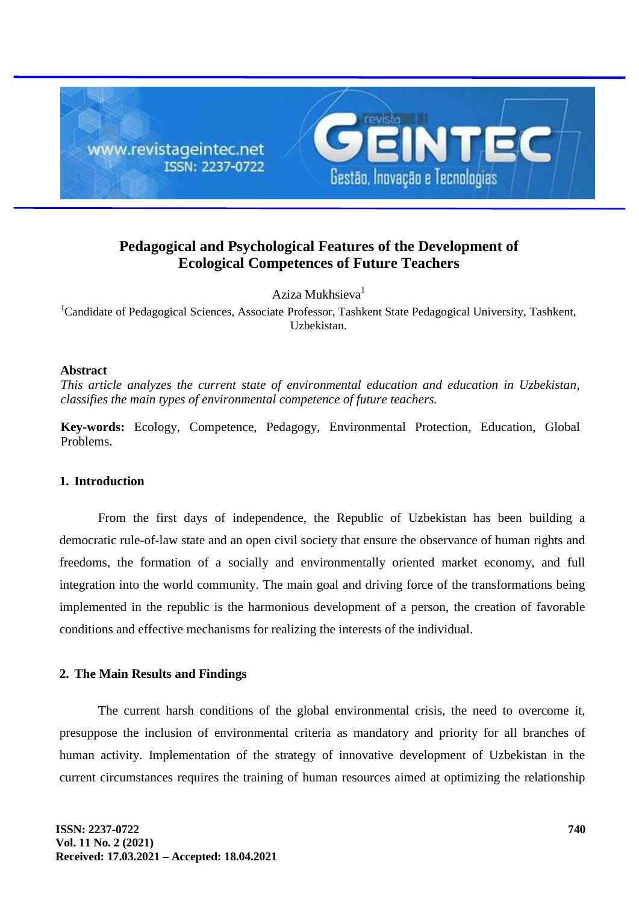

# **Pedagogical and Psychological Features of the Development of Ecological Competences of Future Teachers**

Aziza Mukhsieva<sup>1</sup>

<sup>1</sup>Candidate of Pedagogical Sciences, Associate Professor, Tashkent State Pedagogical University, Tashkent, Uzbekistan.

### **Abstract**

*This article analyzes the current state of environmental education and education in Uzbekistan, classifies the main types of environmental competence of future teachers.*

**Key-words:** Ecology, Competence, Pedagogy, Environmental Protection, Education, Global Problems.

## **1. Introduction**

From the first days of independence, the Republic of Uzbekistan has been building a democratic rule-of-law state and an open civil society that ensure the observance of human rights and freedoms, the formation of a socially and environmentally oriented market economy, and full integration into the world community. The main goal and driving force of the transformations being implemented in the republic is the harmonious development of a person, the creation of favorable conditions and effective mechanisms for realizing the interests of the individual.

#### **2. The Main Results and Findings**

The current harsh conditions of the global environmental crisis, the need to overcome it, presuppose the inclusion of environmental criteria as mandatory and priority for all branches of human activity. Implementation of the strategy of innovative development of Uzbekistan in the current circumstances requires the training of human resources aimed at optimizing the relationship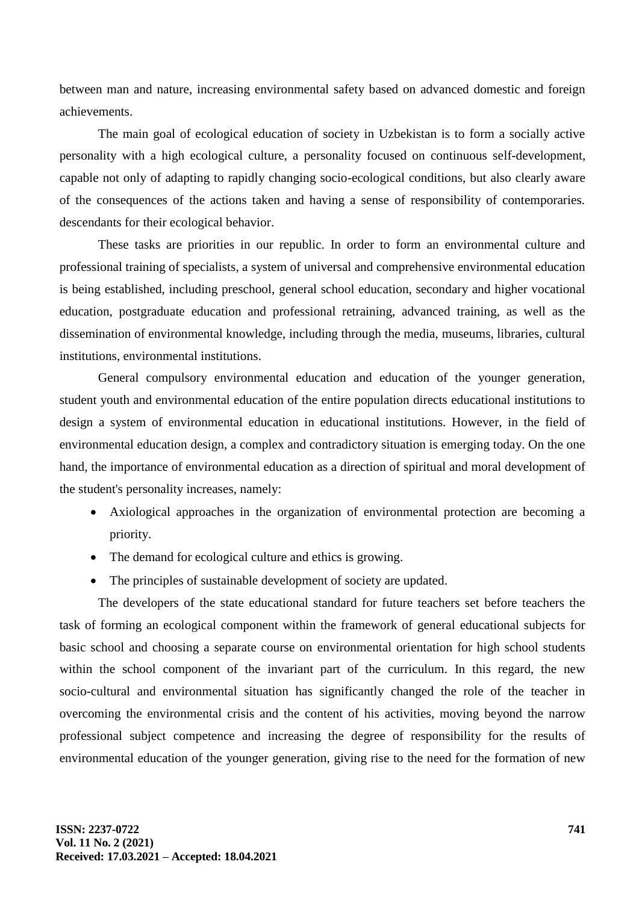between man and nature, increasing environmental safety based on advanced domestic and foreign achievements.

The main goal of ecological education of society in Uzbekistan is to form a socially active personality with a high ecological culture, a personality focused on continuous self-development, capable not only of adapting to rapidly changing socio-ecological conditions, but also clearly aware of the consequences of the actions taken and having a sense of responsibility of contemporaries. descendants for their ecological behavior.

These tasks are priorities in our republic. In order to form an environmental culture and professional training of specialists, a system of universal and comprehensive environmental education is being established, including preschool, general school education, secondary and higher vocational education, postgraduate education and professional retraining, advanced training, as well as the dissemination of environmental knowledge, including through the media, museums, libraries, cultural institutions, environmental institutions.

General compulsory environmental education and education of the younger generation, student youth and environmental education of the entire population directs educational institutions to design a system of environmental education in educational institutions. However, in the field of environmental education design, a complex and contradictory situation is emerging today. On the one hand, the importance of environmental education as a direction of spiritual and moral development of the student's personality increases, namely:

- Axiological approaches in the organization of environmental protection are becoming a priority.
- The demand for ecological culture and ethics is growing.
- The principles of sustainable development of society are updated.

The developers of the state educational standard for future teachers set before teachers the task of forming an ecological component within the framework of general educational subjects for basic school and choosing a separate course on environmental orientation for high school students within the school component of the invariant part of the curriculum. In this regard, the new socio-cultural and environmental situation has significantly changed the role of the teacher in overcoming the environmental crisis and the content of his activities, moving beyond the narrow professional subject competence and increasing the degree of responsibility for the results of environmental education of the younger generation, giving rise to the need for the formation of new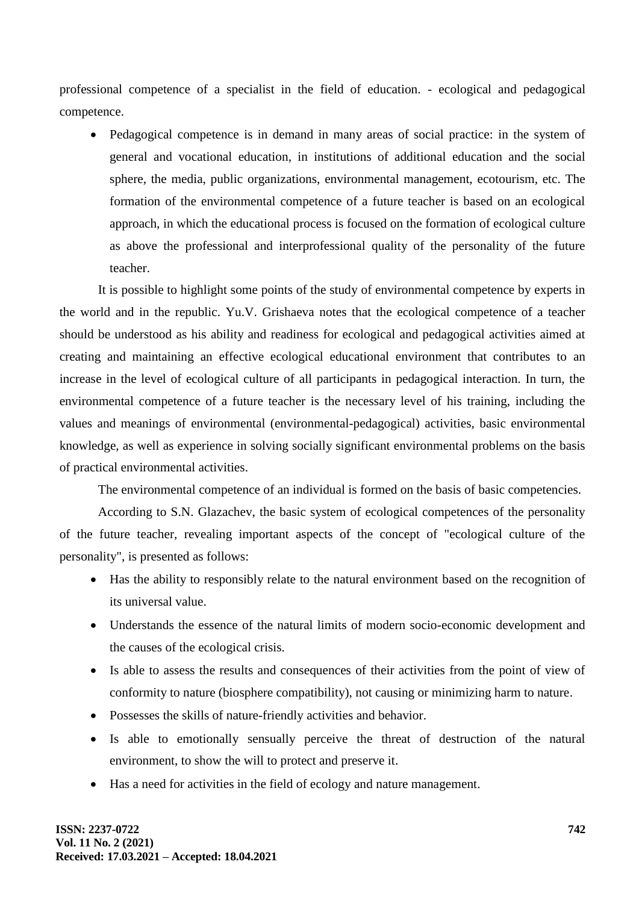professional competence of a specialist in the field of education. - ecological and pedagogical competence.

• Pedagogical competence is in demand in many areas of social practice: in the system of general and vocational education, in institutions of additional education and the social sphere, the media, public organizations, environmental management, ecotourism, etc. The formation of the environmental competence of a future teacher is based on an ecological approach, in which the educational process is focused on the formation of ecological culture as above the professional and interprofessional quality of the personality of the future teacher.

It is possible to highlight some points of the study of environmental competence by experts in the world and in the republic. Yu.V. Grishaeva notes that the ecological competence of a teacher should be understood as his ability and readiness for ecological and pedagogical activities aimed at creating and maintaining an effective ecological educational environment that contributes to an increase in the level of ecological culture of all participants in pedagogical interaction. In turn, the environmental competence of a future teacher is the necessary level of his training, including the values and meanings of environmental (environmental-pedagogical) activities, basic environmental knowledge, as well as experience in solving socially significant environmental problems on the basis of practical environmental activities.

The environmental competence of an individual is formed on the basis of basic competencies.

According to S.N. Glazachev, the basic system of ecological competences of the personality of the future teacher, revealing important aspects of the concept of "ecological culture of the personality", is presented as follows:

- Has the ability to responsibly relate to the natural environment based on the recognition of its universal value.
- Understands the essence of the natural limits of modern socio-economic development and the causes of the ecological crisis.
- Is able to assess the results and consequences of their activities from the point of view of conformity to nature (biosphere compatibility), not causing or minimizing harm to nature.
- Possesses the skills of nature-friendly activities and behavior.
- Is able to emotionally sensually perceive the threat of destruction of the natural environment, to show the will to protect and preserve it.
- Has a need for activities in the field of ecology and nature management.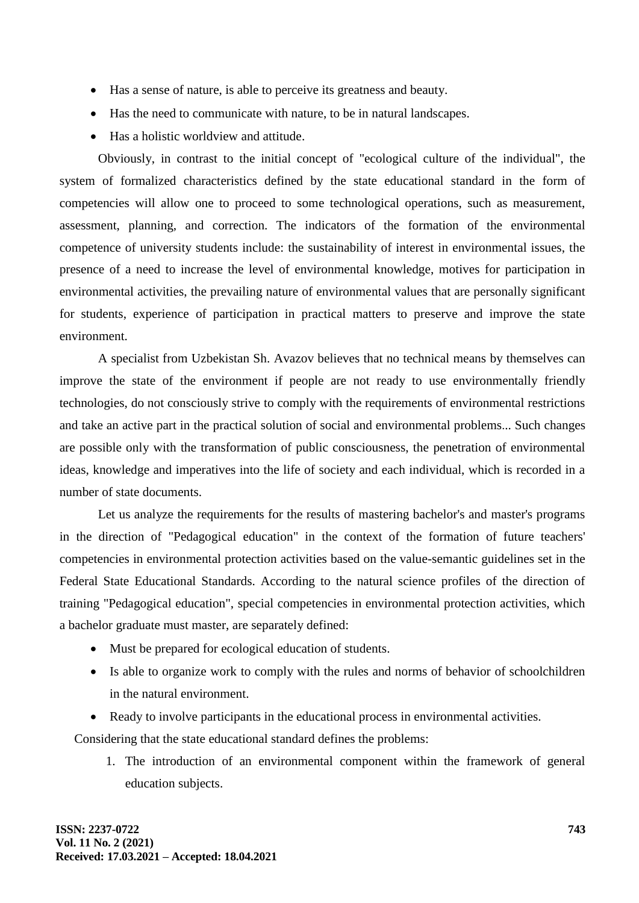- Has a sense of nature, is able to perceive its greatness and beauty.
- Has the need to communicate with nature, to be in natural landscapes.
- Has a holistic worldview and attitude.

Obviously, in contrast to the initial concept of "ecological culture of the individual", the system of formalized characteristics defined by the state educational standard in the form of competencies will allow one to proceed to some technological operations, such as measurement, assessment, planning, and correction. The indicators of the formation of the environmental competence of university students include: the sustainability of interest in environmental issues, the presence of a need to increase the level of environmental knowledge, motives for participation in environmental activities, the prevailing nature of environmental values that are personally significant for students, experience of participation in practical matters to preserve and improve the state environment.

A specialist from Uzbekistan Sh. Avazov believes that no technical means by themselves can improve the state of the environment if people are not ready to use environmentally friendly technologies, do not consciously strive to comply with the requirements of environmental restrictions and take an active part in the practical solution of social and environmental problems... Such changes are possible only with the transformation of public consciousness, the penetration of environmental ideas, knowledge and imperatives into the life of society and each individual, which is recorded in a number of state documents.

Let us analyze the requirements for the results of mastering bachelor's and master's programs in the direction of "Pedagogical education" in the context of the formation of future teachers' competencies in environmental protection activities based on the value-semantic guidelines set in the Federal State Educational Standards. According to the natural science profiles of the direction of training "Pedagogical education", special competencies in environmental protection activities, which a bachelor graduate must master, are separately defined:

- Must be prepared for ecological education of students.
- Is able to organize work to comply with the rules and norms of behavior of schoolchildren in the natural environment.
- Ready to involve participants in the educational process in environmental activities.

Considering that the state educational standard defines the problems:

1. The introduction of an environmental component within the framework of general education subjects.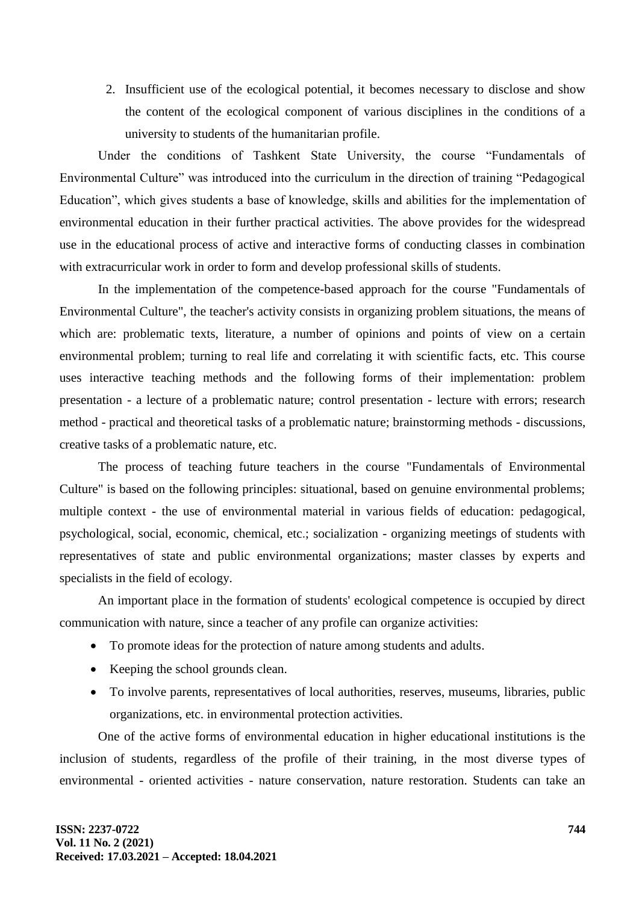2. Insufficient use of the ecological potential, it becomes necessary to disclose and show the content of the ecological component of various disciplines in the conditions of a university to students of the humanitarian profile.

Under the conditions of Tashkent State University, the course "Fundamentals of Environmental Culture" was introduced into the curriculum in the direction of training "Pedagogical Education", which gives students a base of knowledge, skills and abilities for the implementation of environmental education in their further practical activities. The above provides for the widespread use in the educational process of active and interactive forms of conducting classes in combination with extracurricular work in order to form and develop professional skills of students.

In the implementation of the competence-based approach for the course "Fundamentals of Environmental Culture", the teacher's activity consists in organizing problem situations, the means of which are: problematic texts, literature, a number of opinions and points of view on a certain environmental problem; turning to real life and correlating it with scientific facts, etc. This course uses interactive teaching methods and the following forms of their implementation: problem presentation - a lecture of a problematic nature; control presentation - lecture with errors; research method - practical and theoretical tasks of a problematic nature; brainstorming methods - discussions, creative tasks of a problematic nature, etc.

The process of teaching future teachers in the course "Fundamentals of Environmental Culture" is based on the following principles: situational, based on genuine environmental problems; multiple context - the use of environmental material in various fields of education: pedagogical, psychological, social, economic, chemical, etc.; socialization - organizing meetings of students with representatives of state and public environmental organizations; master classes by experts and specialists in the field of ecology.

An important place in the formation of students' ecological competence is occupied by direct communication with nature, since a teacher of any profile can organize activities:

- To promote ideas for the protection of nature among students and adults.
- Keeping the school grounds clean.
- To involve parents, representatives of local authorities, reserves, museums, libraries, public organizations, etc. in environmental protection activities.

One of the active forms of environmental education in higher educational institutions is the inclusion of students, regardless of the profile of their training, in the most diverse types of environmental - oriented activities - nature conservation, nature restoration. Students can take an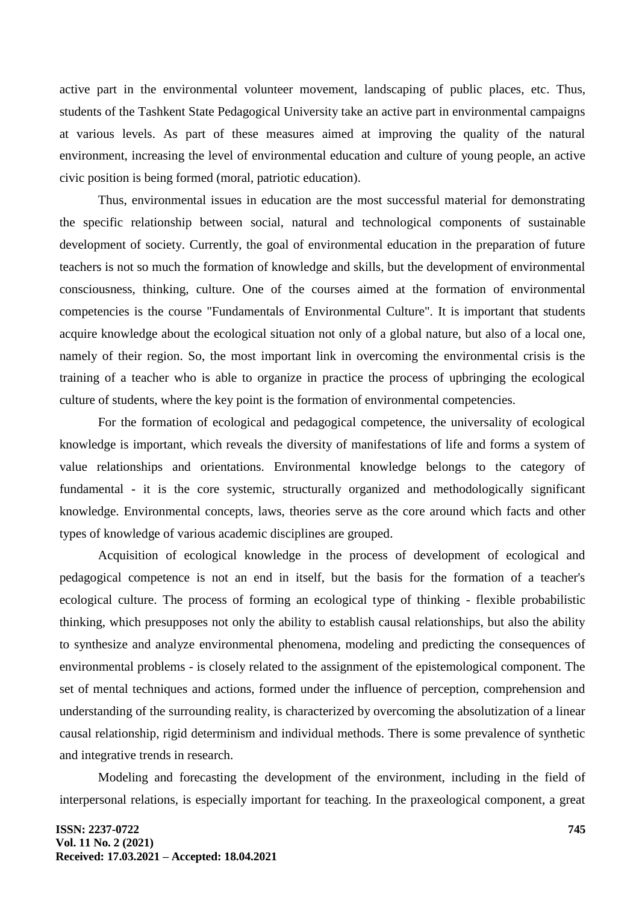active part in the environmental volunteer movement, landscaping of public places, etc. Thus, students of the Tashkent State Pedagogical University take an active part in environmental campaigns at various levels. As part of these measures aimed at improving the quality of the natural environment, increasing the level of environmental education and culture of young people, an active civic position is being formed (moral, patriotic education).

Thus, environmental issues in education are the most successful material for demonstrating the specific relationship between social, natural and technological components of sustainable development of society. Currently, the goal of environmental education in the preparation of future teachers is not so much the formation of knowledge and skills, but the development of environmental consciousness, thinking, culture. One of the courses aimed at the formation of environmental competencies is the course "Fundamentals of Environmental Culture". It is important that students acquire knowledge about the ecological situation not only of a global nature, but also of a local one, namely of their region. So, the most important link in overcoming the environmental crisis is the training of a teacher who is able to organize in practice the process of upbringing the ecological culture of students, where the key point is the formation of environmental competencies.

For the formation of ecological and pedagogical competence, the universality of ecological knowledge is important, which reveals the diversity of manifestations of life and forms a system of value relationships and orientations. Environmental knowledge belongs to the category of fundamental - it is the core systemic, structurally organized and methodologically significant knowledge. Environmental concepts, laws, theories serve as the core around which facts and other types of knowledge of various academic disciplines are grouped.

Acquisition of ecological knowledge in the process of development of ecological and pedagogical competence is not an end in itself, but the basis for the formation of a teacher's ecological culture. The process of forming an ecological type of thinking - flexible probabilistic thinking, which presupposes not only the ability to establish causal relationships, but also the ability to synthesize and analyze environmental phenomena, modeling and predicting the consequences of environmental problems - is closely related to the assignment of the epistemological component. The set of mental techniques and actions, formed under the influence of perception, comprehension and understanding of the surrounding reality, is characterized by overcoming the absolutization of a linear causal relationship, rigid determinism and individual methods. There is some prevalence of synthetic and integrative trends in research.

Modeling and forecasting the development of the environment, including in the field of interpersonal relations, is especially important for teaching. In the praxeological component, a great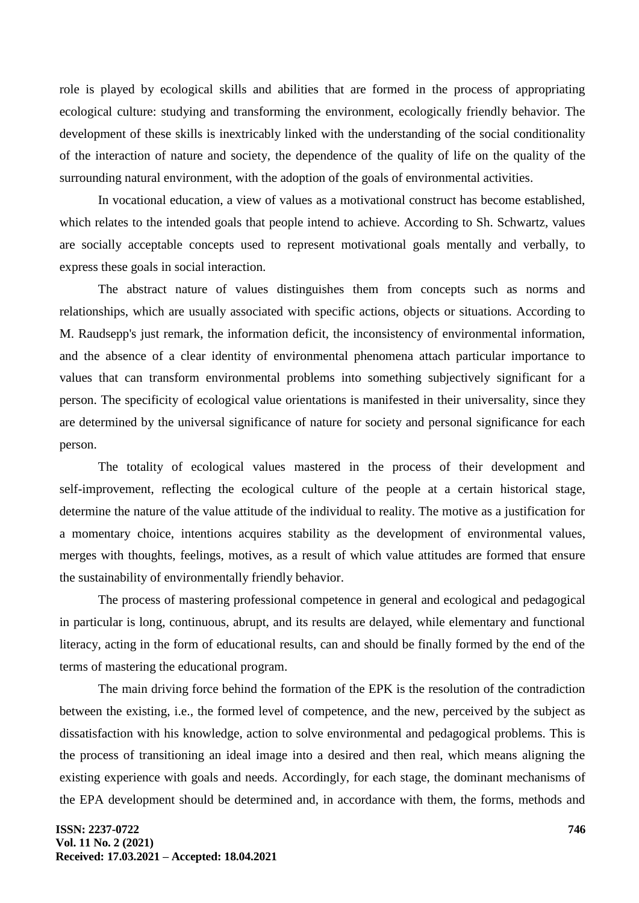role is played by ecological skills and abilities that are formed in the process of appropriating ecological culture: studying and transforming the environment, ecologically friendly behavior. The development of these skills is inextricably linked with the understanding of the social conditionality of the interaction of nature and society, the dependence of the quality of life on the quality of the surrounding natural environment, with the adoption of the goals of environmental activities.

In vocational education, a view of values as a motivational construct has become established, which relates to the intended goals that people intend to achieve. According to Sh. Schwartz, values are socially acceptable concepts used to represent motivational goals mentally and verbally, to express these goals in social interaction.

The abstract nature of values distinguishes them from concepts such as norms and relationships, which are usually associated with specific actions, objects or situations. According to M. Raudsepp's just remark, the information deficit, the inconsistency of environmental information, and the absence of a clear identity of environmental phenomena attach particular importance to values that can transform environmental problems into something subjectively significant for a person. The specificity of ecological value orientations is manifested in their universality, since they are determined by the universal significance of nature for society and personal significance for each person.

The totality of ecological values mastered in the process of their development and self-improvement, reflecting the ecological culture of the people at a certain historical stage, determine the nature of the value attitude of the individual to reality. The motive as a justification for a momentary choice, intentions acquires stability as the development of environmental values, merges with thoughts, feelings, motives, as a result of which value attitudes are formed that ensure the sustainability of environmentally friendly behavior.

The process of mastering professional competence in general and ecological and pedagogical in particular is long, continuous, abrupt, and its results are delayed, while elementary and functional literacy, acting in the form of educational results, can and should be finally formed by the end of the terms of mastering the educational program.

The main driving force behind the formation of the EPK is the resolution of the contradiction between the existing, i.e., the formed level of competence, and the new, perceived by the subject as dissatisfaction with his knowledge, action to solve environmental and pedagogical problems. This is the process of transitioning an ideal image into a desired and then real, which means aligning the existing experience with goals and needs. Accordingly, for each stage, the dominant mechanisms of the EPA development should be determined and, in accordance with them, the forms, methods and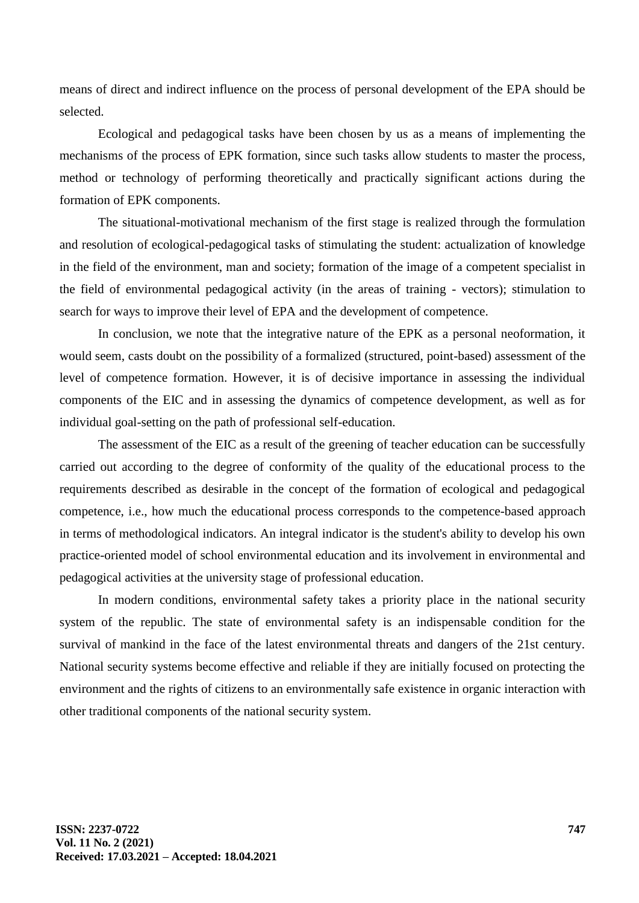means of direct and indirect influence on the process of personal development of the EPA should be selected.

Ecological and pedagogical tasks have been chosen by us as a means of implementing the mechanisms of the process of EPK formation, since such tasks allow students to master the process, method or technology of performing theoretically and practically significant actions during the formation of EPK components.

The situational-motivational mechanism of the first stage is realized through the formulation and resolution of ecological-pedagogical tasks of stimulating the student: actualization of knowledge in the field of the environment, man and society; formation of the image of a competent specialist in the field of environmental pedagogical activity (in the areas of training - vectors); stimulation to search for ways to improve their level of EPA and the development of competence.

In conclusion, we note that the integrative nature of the EPK as a personal neoformation, it would seem, casts doubt on the possibility of a formalized (structured, point-based) assessment of the level of competence formation. However, it is of decisive importance in assessing the individual components of the EIC and in assessing the dynamics of competence development, as well as for individual goal-setting on the path of professional self-education.

The assessment of the EIC as a result of the greening of teacher education can be successfully carried out according to the degree of conformity of the quality of the educational process to the requirements described as desirable in the concept of the formation of ecological and pedagogical competence, i.e., how much the educational process corresponds to the competence-based approach in terms of methodological indicators. An integral indicator is the student's ability to develop his own practice-oriented model of school environmental education and its involvement in environmental and pedagogical activities at the university stage of professional education.

In modern conditions, environmental safety takes a priority place in the national security system of the republic. The state of environmental safety is an indispensable condition for the survival of mankind in the face of the latest environmental threats and dangers of the 21st century. National security systems become effective and reliable if they are initially focused on protecting the environment and the rights of citizens to an environmentally safe existence in organic interaction with other traditional components of the national security system.